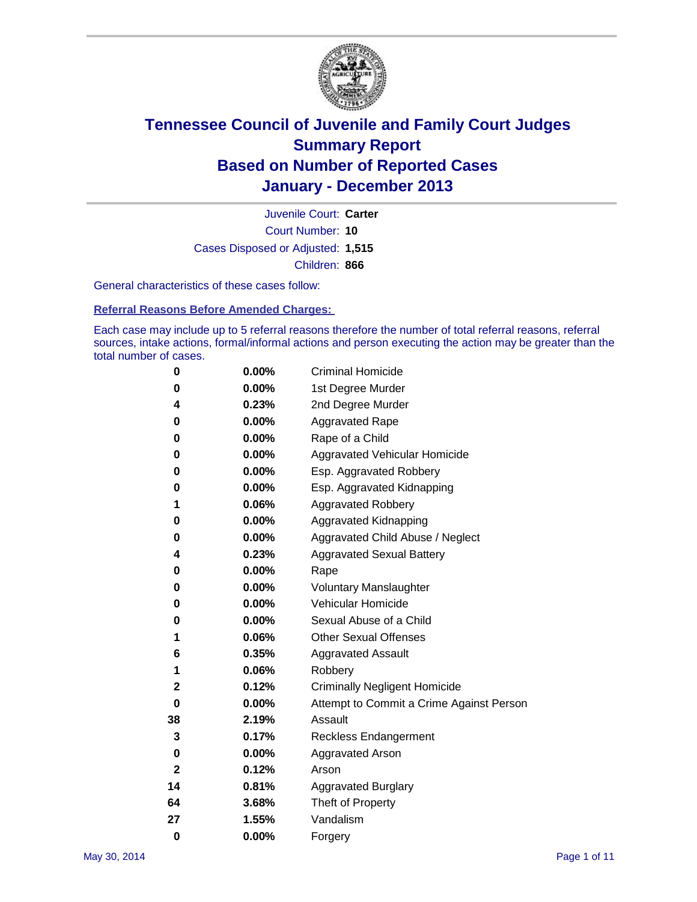

Court Number: **10** Juvenile Court: **Carter** Cases Disposed or Adjusted: **1,515** Children: **866**

General characteristics of these cases follow:

**Referral Reasons Before Amended Charges:** 

Each case may include up to 5 referral reasons therefore the number of total referral reasons, referral sources, intake actions, formal/informal actions and person executing the action may be greater than the total number of cases.

| 0        | 0.00%    | <b>Criminal Homicide</b>                 |
|----------|----------|------------------------------------------|
| 0        | 0.00%    | 1st Degree Murder                        |
| 4        | 0.23%    | 2nd Degree Murder                        |
| 0        | $0.00\%$ | <b>Aggravated Rape</b>                   |
| 0        | 0.00%    | Rape of a Child                          |
| 0        | 0.00%    | <b>Aggravated Vehicular Homicide</b>     |
| 0        | $0.00\%$ | Esp. Aggravated Robbery                  |
| 0        | 0.00%    | Esp. Aggravated Kidnapping               |
| 1        | 0.06%    | <b>Aggravated Robbery</b>                |
| 0        | 0.00%    | Aggravated Kidnapping                    |
| 0        | 0.00%    | Aggravated Child Abuse / Neglect         |
| 4        | 0.23%    | <b>Aggravated Sexual Battery</b>         |
| 0        | 0.00%    | Rape                                     |
| 0        | 0.00%    | <b>Voluntary Manslaughter</b>            |
| 0        | 0.00%    | Vehicular Homicide                       |
| 0        | $0.00\%$ | Sexual Abuse of a Child                  |
| 1        | 0.06%    | <b>Other Sexual Offenses</b>             |
| 6        | 0.35%    | <b>Aggravated Assault</b>                |
| 1        | 0.06%    | Robbery                                  |
| 2        | 0.12%    | <b>Criminally Negligent Homicide</b>     |
| 0        | 0.00%    | Attempt to Commit a Crime Against Person |
| 38       | 2.19%    | Assault                                  |
| 3        | 0.17%    | <b>Reckless Endangerment</b>             |
| 0        | 0.00%    | <b>Aggravated Arson</b>                  |
| 2        | 0.12%    | Arson                                    |
| 14       | 0.81%    | <b>Aggravated Burglary</b>               |
| 64       | 3.68%    | Theft of Property                        |
| 27       | 1.55%    | Vandalism                                |
| $\bf{0}$ | 0.00%    | Forgery                                  |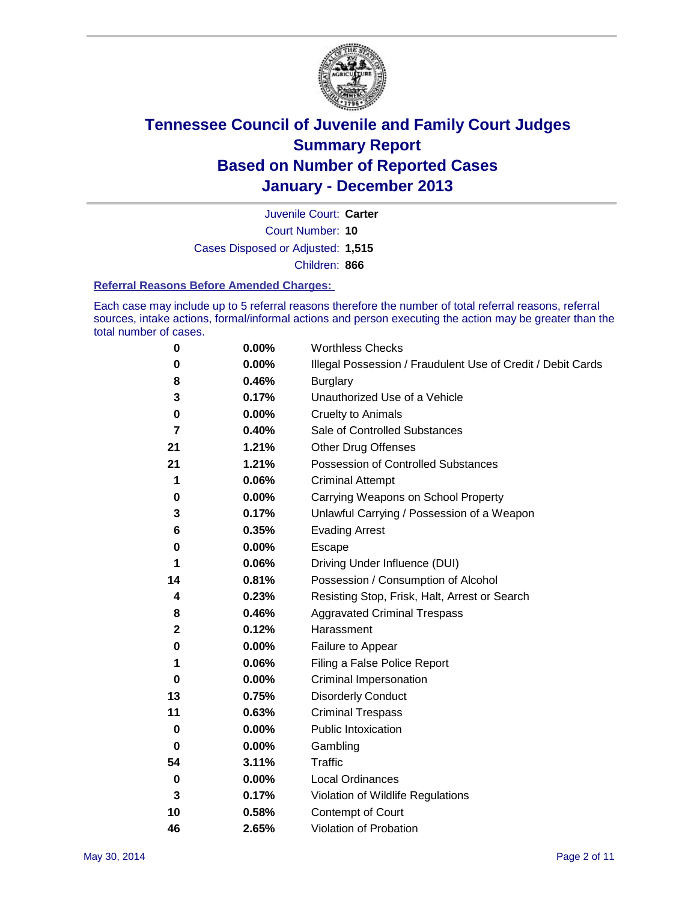

Court Number: **10** Juvenile Court: **Carter** Cases Disposed or Adjusted: **1,515** Children: **866**

### **Referral Reasons Before Amended Charges:**

Each case may include up to 5 referral reasons therefore the number of total referral reasons, referral sources, intake actions, formal/informal actions and person executing the action may be greater than the total number of cases.

| 0            | 0.00%    | <b>Worthless Checks</b>                                     |
|--------------|----------|-------------------------------------------------------------|
| 0            | 0.00%    | Illegal Possession / Fraudulent Use of Credit / Debit Cards |
| 8            | 0.46%    | <b>Burglary</b>                                             |
| 3            | 0.17%    | Unauthorized Use of a Vehicle                               |
| 0            | 0.00%    | <b>Cruelty to Animals</b>                                   |
| 7            | 0.40%    | Sale of Controlled Substances                               |
| 21           | 1.21%    | <b>Other Drug Offenses</b>                                  |
| 21           | 1.21%    | Possession of Controlled Substances                         |
| 1            | 0.06%    | <b>Criminal Attempt</b>                                     |
| 0            | 0.00%    | Carrying Weapons on School Property                         |
| 3            | 0.17%    | Unlawful Carrying / Possession of a Weapon                  |
| 6            | 0.35%    | <b>Evading Arrest</b>                                       |
| 0            | 0.00%    | Escape                                                      |
| 1            | 0.06%    | Driving Under Influence (DUI)                               |
| 14           | 0.81%    | Possession / Consumption of Alcohol                         |
| 4            | 0.23%    | Resisting Stop, Frisk, Halt, Arrest or Search               |
| 8            | 0.46%    | <b>Aggravated Criminal Trespass</b>                         |
| $\mathbf{2}$ | 0.12%    | Harassment                                                  |
| 0            | 0.00%    | Failure to Appear                                           |
| 1            | 0.06%    | Filing a False Police Report                                |
| 0            | 0.00%    | Criminal Impersonation                                      |
| 13           | 0.75%    | <b>Disorderly Conduct</b>                                   |
| 11           | 0.63%    | <b>Criminal Trespass</b>                                    |
| 0            | $0.00\%$ | <b>Public Intoxication</b>                                  |
| 0            | 0.00%    | Gambling                                                    |
| 54           | 3.11%    | <b>Traffic</b>                                              |
| 0            | 0.00%    | Local Ordinances                                            |
| 3            | 0.17%    | Violation of Wildlife Regulations                           |
| 10           | 0.58%    | Contempt of Court                                           |
| 46           | 2.65%    | Violation of Probation                                      |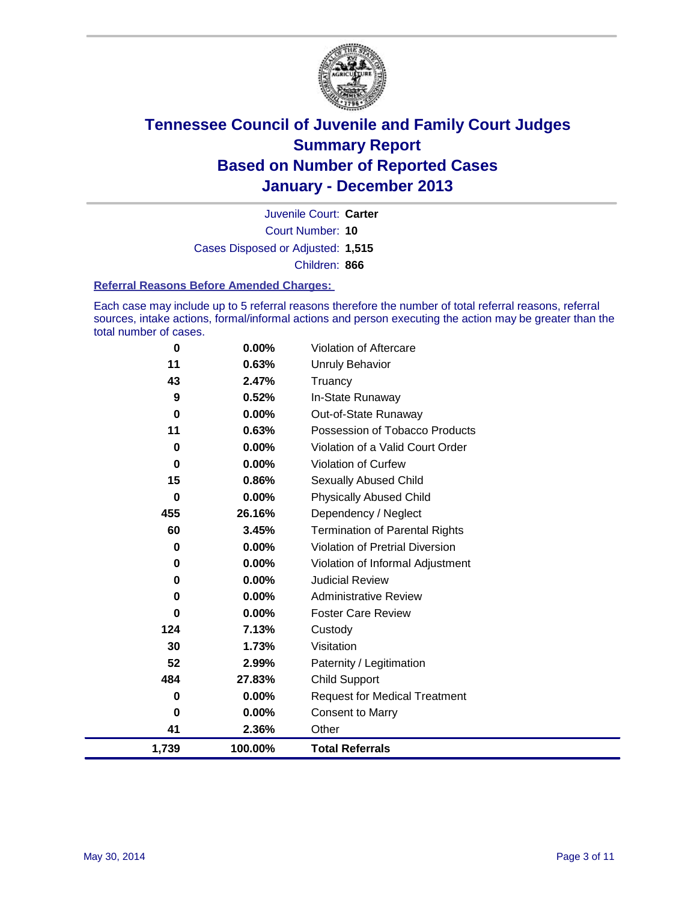

Court Number: **10** Juvenile Court: **Carter** Cases Disposed or Adjusted: **1,515** Children: **866**

### **Referral Reasons Before Amended Charges:**

Each case may include up to 5 referral reasons therefore the number of total referral reasons, referral sources, intake actions, formal/informal actions and person executing the action may be greater than the total number of cases.

| 1,739    | 100.00% | <b>Total Referrals</b>                 |
|----------|---------|----------------------------------------|
| 41       | 2.36%   | Other                                  |
| 0        | 0.00%   | <b>Consent to Marry</b>                |
| 0        | 0.00%   | <b>Request for Medical Treatment</b>   |
| 484      | 27.83%  | Child Support                          |
| 52       | 2.99%   | Paternity / Legitimation               |
| 30       | 1.73%   | Visitation                             |
| 124      | 7.13%   | Custody                                |
| $\bf{0}$ | 0.00%   | <b>Foster Care Review</b>              |
| 0        | 0.00%   | <b>Administrative Review</b>           |
| 0        | 0.00%   | <b>Judicial Review</b>                 |
| 0        | 0.00%   | Violation of Informal Adjustment       |
| 0        | 0.00%   | <b>Violation of Pretrial Diversion</b> |
| 60       | 3.45%   | <b>Termination of Parental Rights</b>  |
| 455      | 26.16%  | Dependency / Neglect                   |
| $\bf{0}$ | 0.00%   | <b>Physically Abused Child</b>         |
| 15       | 0.86%   | Sexually Abused Child                  |
| 0        | 0.00%   | Violation of Curfew                    |
| $\bf{0}$ | 0.00%   | Violation of a Valid Court Order       |
| 11       | 0.63%   | Possession of Tobacco Products         |
| 0        | 0.00%   | Out-of-State Runaway                   |
| 9        | 0.52%   | In-State Runaway                       |
| 43       | 2.47%   | Truancy                                |
| 11       | 0.63%   | <b>Unruly Behavior</b>                 |
| 0        | 0.00%   | Violation of Aftercare                 |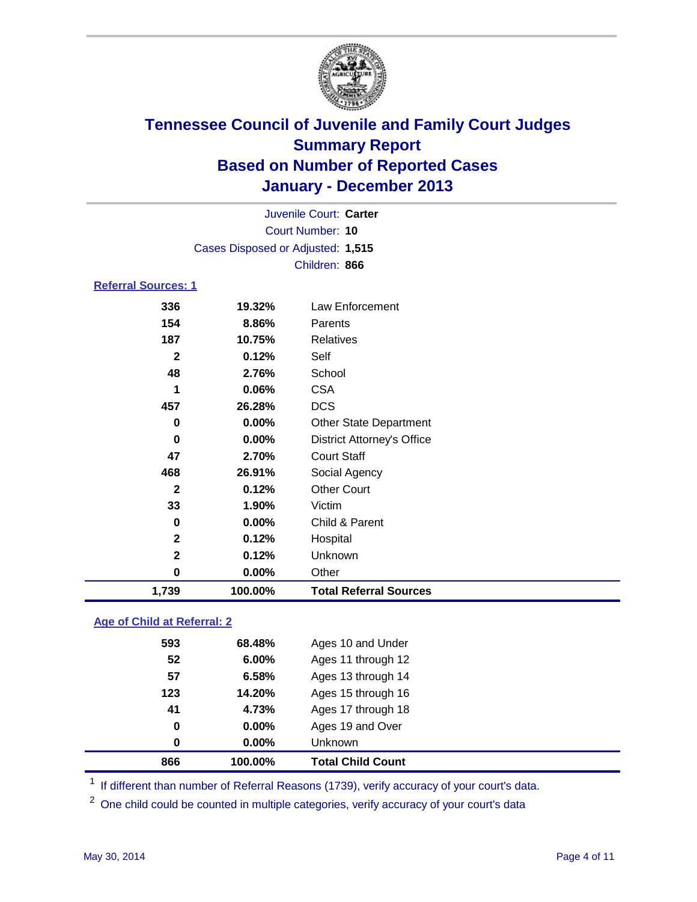

|                            |                                   | Juvenile Court: Carter            |
|----------------------------|-----------------------------------|-----------------------------------|
|                            |                                   | Court Number: 10                  |
|                            | Cases Disposed or Adjusted: 1,515 |                                   |
|                            |                                   | Children: 866                     |
| <b>Referral Sources: 1</b> |                                   |                                   |
| 336                        | 19.32%                            | Law Enforcement                   |
| 154                        | 8.86%                             | Parents                           |
| 187                        | 10.75%                            | <b>Relatives</b>                  |
| $\mathbf{2}$               | 0.12%                             | Self                              |
| 48                         | 2.76%                             | School                            |
| 1                          | 0.06%                             | <b>CSA</b>                        |
| 457                        | 26.28%                            | <b>DCS</b>                        |
| 0                          | 0.00%                             | <b>Other State Department</b>     |
| 0                          | 0.00%                             | <b>District Attorney's Office</b> |
| 47                         | 2.70%                             | <b>Court Staff</b>                |
| 468                        | 26.91%                            | Social Agency                     |
| $\mathbf{2}$               | 0.12%                             | <b>Other Court</b>                |
| 33                         | 1.90%                             | Victim                            |
| $\bf{0}$                   | 0.00%                             | Child & Parent                    |
| $\mathbf 2$                | 0.12%                             | Hospital                          |
| $\mathbf 2$                | 0.12%                             | Unknown                           |
| 0                          | $0.00\%$                          | Other                             |
| 1,739                      | 100.00%                           | <b>Total Referral Sources</b>     |

### **Age of Child at Referral: 2**

| 866 | 100.00%  | <b>Total Child Count</b> |
|-----|----------|--------------------------|
| 0   | 0.00%    | <b>Unknown</b>           |
| 0   | $0.00\%$ | Ages 19 and Over         |
| 41  | 4.73%    | Ages 17 through 18       |
| 123 | 14.20%   | Ages 15 through 16       |
| 57  | 6.58%    | Ages 13 through 14       |
| 52  | 6.00%    | Ages 11 through 12       |
| 593 | 68.48%   | Ages 10 and Under        |
|     |          |                          |

<sup>1</sup> If different than number of Referral Reasons (1739), verify accuracy of your court's data.

<sup>2</sup> One child could be counted in multiple categories, verify accuracy of your court's data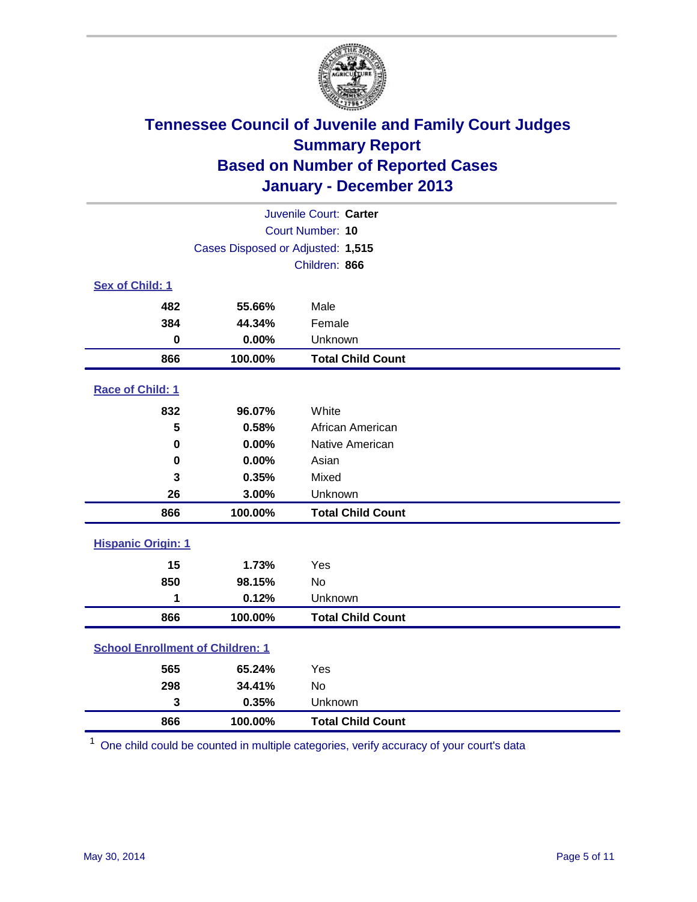

| Juvenile Court: Carter                  |                                   |                          |  |  |
|-----------------------------------------|-----------------------------------|--------------------------|--|--|
| Court Number: 10                        |                                   |                          |  |  |
|                                         | Cases Disposed or Adjusted: 1,515 |                          |  |  |
|                                         |                                   | Children: 866            |  |  |
| Sex of Child: 1                         |                                   |                          |  |  |
| 482                                     | 55.66%                            | Male                     |  |  |
| 384                                     | 44.34%                            | Female                   |  |  |
| $\mathbf 0$                             | 0.00%                             | Unknown                  |  |  |
| 866                                     | 100.00%                           | <b>Total Child Count</b> |  |  |
| Race of Child: 1                        |                                   |                          |  |  |
| 832                                     | 96.07%                            | White                    |  |  |
| 5                                       | 0.58%                             | African American         |  |  |
| 0                                       | 0.00%                             | Native American          |  |  |
| 0                                       | 0.00%                             | Asian                    |  |  |
| 3                                       | 0.35%                             | Mixed                    |  |  |
| 26                                      | 3.00%                             | Unknown                  |  |  |
| 866                                     | 100.00%                           | <b>Total Child Count</b> |  |  |
| <b>Hispanic Origin: 1</b>               |                                   |                          |  |  |
| 15                                      | 1.73%                             | Yes                      |  |  |
| 850                                     | 98.15%                            | No                       |  |  |
| 1                                       | 0.12%                             | Unknown                  |  |  |
| 866                                     | 100.00%                           | <b>Total Child Count</b> |  |  |
| <b>School Enrollment of Children: 1</b> |                                   |                          |  |  |
| 565                                     | 65.24%                            | Yes                      |  |  |
| 298                                     | 34.41%                            | <b>No</b>                |  |  |
| 3                                       | 0.35%                             | Unknown                  |  |  |
| 866                                     | 100.00%                           | <b>Total Child Count</b> |  |  |

One child could be counted in multiple categories, verify accuracy of your court's data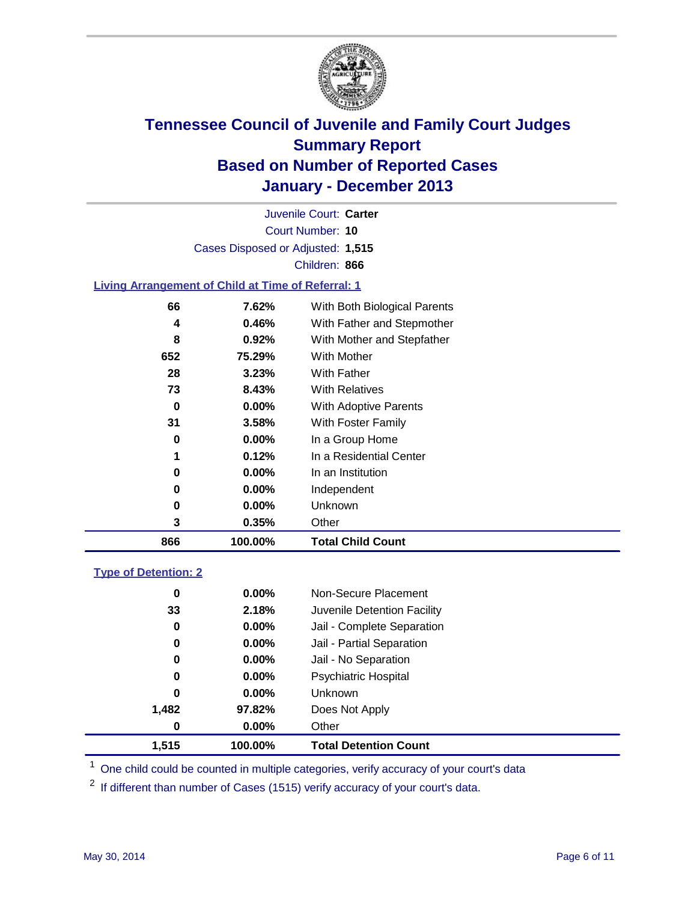

Court Number: **10** Juvenile Court: **Carter** Cases Disposed or Adjusted: **1,515** Children: **866**

### **Living Arrangement of Child at Time of Referral: 1**

| 866 | 100.00%  | <b>Total Child Count</b>     |
|-----|----------|------------------------------|
| 3   | 0.35%    | Other                        |
| 0   | $0.00\%$ | Unknown                      |
| 0   | $0.00\%$ | Independent                  |
| 0   | $0.00\%$ | In an Institution            |
| 1   | 0.12%    | In a Residential Center      |
| 0   | $0.00\%$ | In a Group Home              |
| 31  | 3.58%    | With Foster Family           |
| 0   | 0.00%    | <b>With Adoptive Parents</b> |
| 73  | 8.43%    | <b>With Relatives</b>        |
| 28  | 3.23%    | With Father                  |
| 652 | 75.29%   | With Mother                  |
| 8   | 0.92%    | With Mother and Stepfather   |
| 4   | 0.46%    | With Father and Stepmother   |
| 66  | 7.62%    | With Both Biological Parents |
|     |          |                              |

### **Type of Detention: 2**

| 1,515 | 100.00%  | <b>Total Detention Count</b> |  |
|-------|----------|------------------------------|--|
| 0     | $0.00\%$ | Other                        |  |
| 1,482 | 97.82%   | Does Not Apply               |  |
| 0     | $0.00\%$ | <b>Unknown</b>               |  |
| 0     | $0.00\%$ | <b>Psychiatric Hospital</b>  |  |
| 0     | 0.00%    | Jail - No Separation         |  |
| 0     | $0.00\%$ | Jail - Partial Separation    |  |
| 0     | 0.00%    | Jail - Complete Separation   |  |
| 33    | 2.18%    | Juvenile Detention Facility  |  |
| 0     | 0.00%    | Non-Secure Placement         |  |
|       |          |                              |  |

<sup>1</sup> One child could be counted in multiple categories, verify accuracy of your court's data

If different than number of Cases (1515) verify accuracy of your court's data.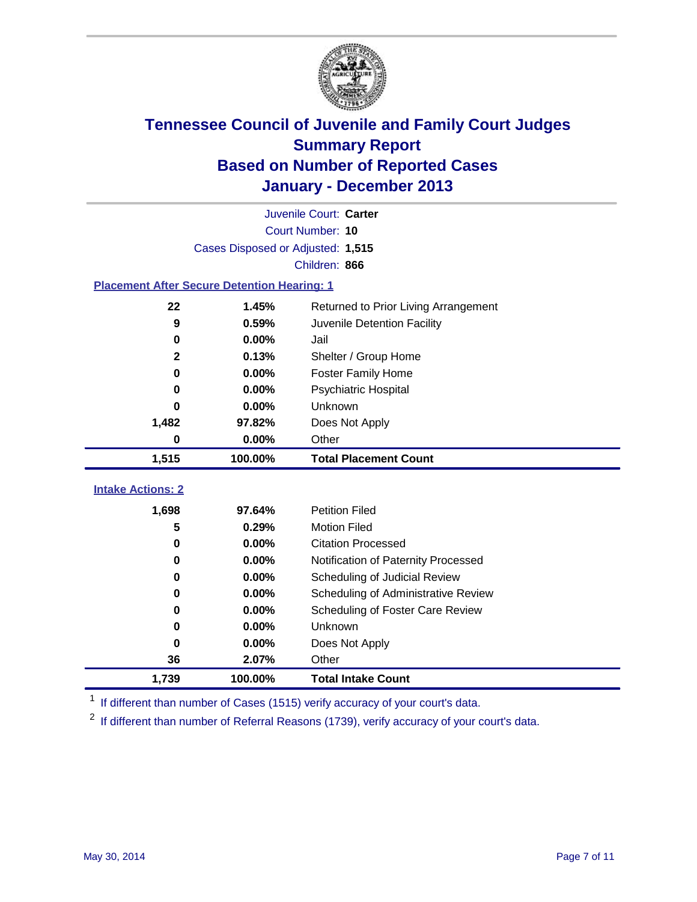

|                                                    |                                   | Juvenile Court: Carter               |
|----------------------------------------------------|-----------------------------------|--------------------------------------|
|                                                    |                                   | Court Number: 10                     |
|                                                    | Cases Disposed or Adjusted: 1,515 |                                      |
|                                                    |                                   | Children: 866                        |
| <b>Placement After Secure Detention Hearing: 1</b> |                                   |                                      |
| 22                                                 | 1.45%                             | Returned to Prior Living Arrangement |
| 9                                                  | 0.59%                             | Juvenile Detention Facility          |
| 0                                                  | 0.00%                             | Jail                                 |
| $\mathbf{2}$                                       | 0.13%                             | Shelter / Group Home                 |
| $\mathbf 0$                                        | 0.00%                             | <b>Foster Family Home</b>            |
| 0                                                  | 0.00%                             | Psychiatric Hospital                 |
| 0                                                  | 0.00%                             | Unknown                              |
| 1,482                                              | 97.82%                            | Does Not Apply                       |
| 0                                                  | 0.00%                             | Other                                |
| 1,515                                              | 100.00%                           | <b>Total Placement Count</b>         |
|                                                    |                                   |                                      |
| <b>Intake Actions: 2</b>                           |                                   |                                      |
| 1,698                                              | 97.64%                            | <b>Petition Filed</b>                |
| 5                                                  | 0.29%                             | <b>Motion Filed</b>                  |
| 0                                                  | 0.00%                             | <b>Citation Processed</b>            |
| 0                                                  | 0.00%                             | Notification of Paternity Processed  |
| 0                                                  | 0.00%                             | Scheduling of Judicial Review        |
| 0                                                  | 0.00%                             | Scheduling of Administrative Review  |
| 0                                                  | 0.00%                             | Scheduling of Foster Care Review     |
| $\bf{0}$                                           | 0.00%                             | Unknown                              |
| 0                                                  | 0.00%                             | Does Not Apply                       |
| 36                                                 | 2.07%                             | Other                                |
| 1,739                                              | 100.00%                           | <b>Total Intake Count</b>            |

<sup>1</sup> If different than number of Cases (1515) verify accuracy of your court's data.

 $2$  If different than number of Referral Reasons (1739), verify accuracy of your court's data.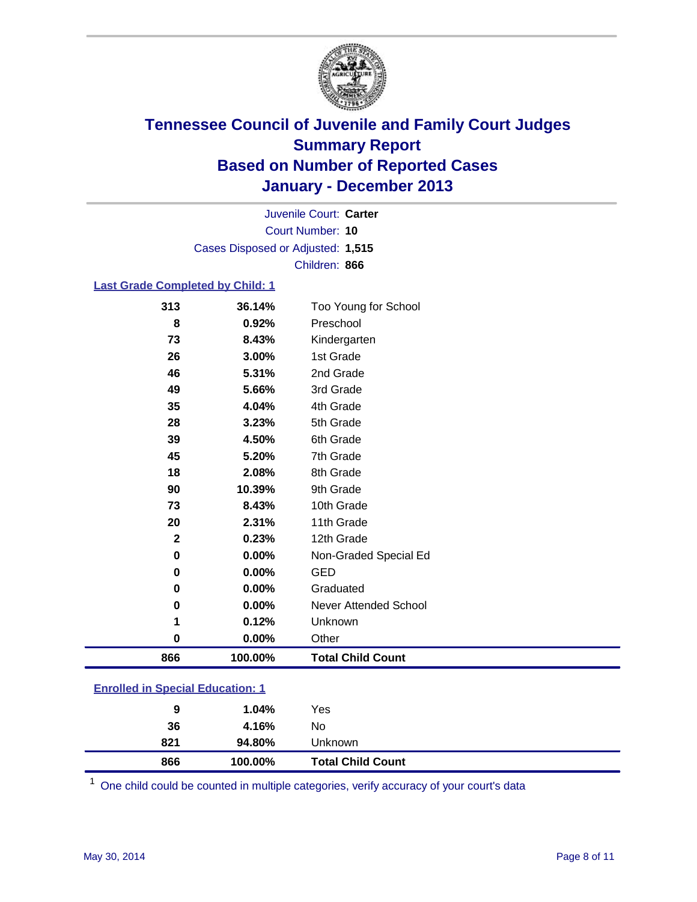

Court Number: **10** Juvenile Court: **Carter** Cases Disposed or Adjusted: **1,515** Children: **866**

### **Last Grade Completed by Child: 1**

| 866          | 100.00% | <b>Total Child Count</b> |
|--------------|---------|--------------------------|
| 0            | 0.00%   | Other                    |
| 1            | 0.12%   | Unknown                  |
| $\bf{0}$     | 0.00%   | Never Attended School    |
| $\bf{0}$     | 0.00%   | Graduated                |
| $\bf{0}$     | 0.00%   | <b>GED</b>               |
| $\bf{0}$     | 0.00%   | Non-Graded Special Ed    |
| $\mathbf{2}$ | 0.23%   | 12th Grade               |
| 20           | 2.31%   | 11th Grade               |
| 73           | 8.43%   | 10th Grade               |
| 90           | 10.39%  | 9th Grade                |
| 18           | 2.08%   | 8th Grade                |
| 45           | 5.20%   | 7th Grade                |
| 39           | 4.50%   | 6th Grade                |
| 28           | 3.23%   | 5th Grade                |
| 35           | 4.04%   | 4th Grade                |
| 49           | 5.66%   | 3rd Grade                |
| 46           | 5.31%   | 2nd Grade                |
| 26           | 3.00%   | 1st Grade                |
| 73           | 8.43%   | Kindergarten             |
| 8            | 0.92%   | Preschool                |
| 313          | 36.14%  | Too Young for School     |

| <b>Enrolled in Special Education: 1</b> |
|-----------------------------------------|
|                                         |

| 866 | 100.00% | <b>Total Child Count</b> |  |
|-----|---------|--------------------------|--|
| 821 | 94.80%  | Unknown                  |  |
| 36  | 4.16%   | No                       |  |
| 9   | 1.04%   | Yes                      |  |
|     |         |                          |  |

One child could be counted in multiple categories, verify accuracy of your court's data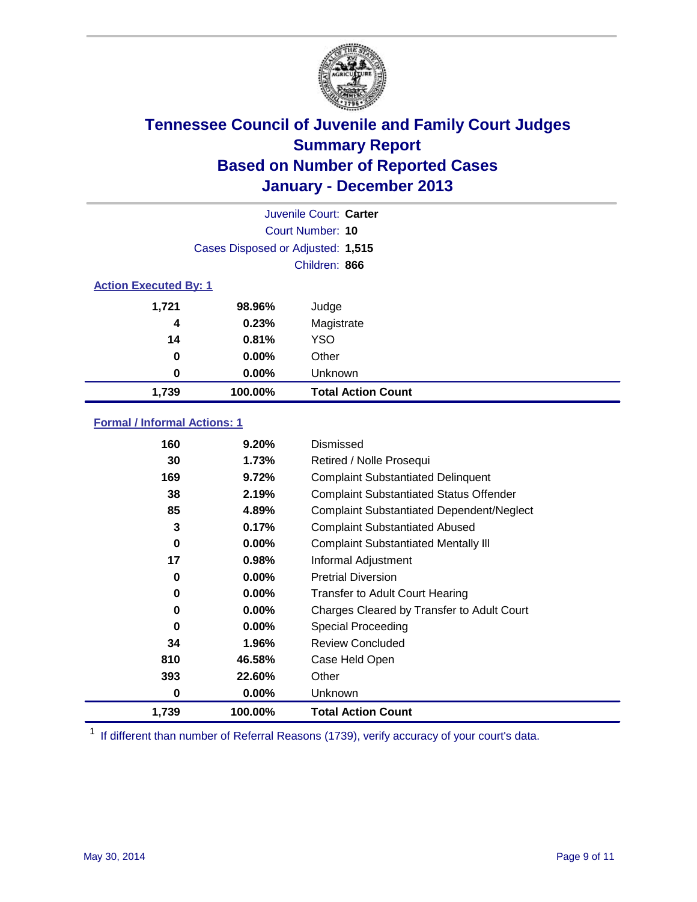

|                              |                                   | Juvenile Court: Carter    |
|------------------------------|-----------------------------------|---------------------------|
|                              |                                   | Court Number: 10          |
|                              | Cases Disposed or Adjusted: 1,515 |                           |
|                              |                                   | Children: 866             |
| <b>Action Executed By: 1</b> |                                   |                           |
| 1,721                        | 98.96%                            | Judge                     |
| 4                            | 0.23%                             | Magistrate                |
| 14                           | 0.81%                             | <b>YSO</b>                |
| 0                            | $0.00\%$                          | Other                     |
| 0                            | $0.00\%$                          | Unknown                   |
| 1,739                        | 100.00%                           | <b>Total Action Count</b> |

### **Formal / Informal Actions: 1**

| 160   | 9.20%    | Dismissed                                        |
|-------|----------|--------------------------------------------------|
| 30    | 1.73%    | Retired / Nolle Prosequi                         |
| 169   | 9.72%    | <b>Complaint Substantiated Delinquent</b>        |
| 38    | 2.19%    | <b>Complaint Substantiated Status Offender</b>   |
| 85    | 4.89%    | <b>Complaint Substantiated Dependent/Neglect</b> |
| 3     | 0.17%    | <b>Complaint Substantiated Abused</b>            |
| 0     | $0.00\%$ | <b>Complaint Substantiated Mentally III</b>      |
| 17    | 0.98%    | Informal Adjustment                              |
| 0     | $0.00\%$ | <b>Pretrial Diversion</b>                        |
| 0     | $0.00\%$ | <b>Transfer to Adult Court Hearing</b>           |
| 0     | $0.00\%$ | Charges Cleared by Transfer to Adult Court       |
| 0     | $0.00\%$ | <b>Special Proceeding</b>                        |
| 34    | 1.96%    | <b>Review Concluded</b>                          |
| 810   | 46.58%   | Case Held Open                                   |
| 393   | 22.60%   | Other                                            |
| 0     | $0.00\%$ | <b>Unknown</b>                                   |
| 1,739 | 100.00%  | <b>Total Action Count</b>                        |

<sup>1</sup> If different than number of Referral Reasons (1739), verify accuracy of your court's data.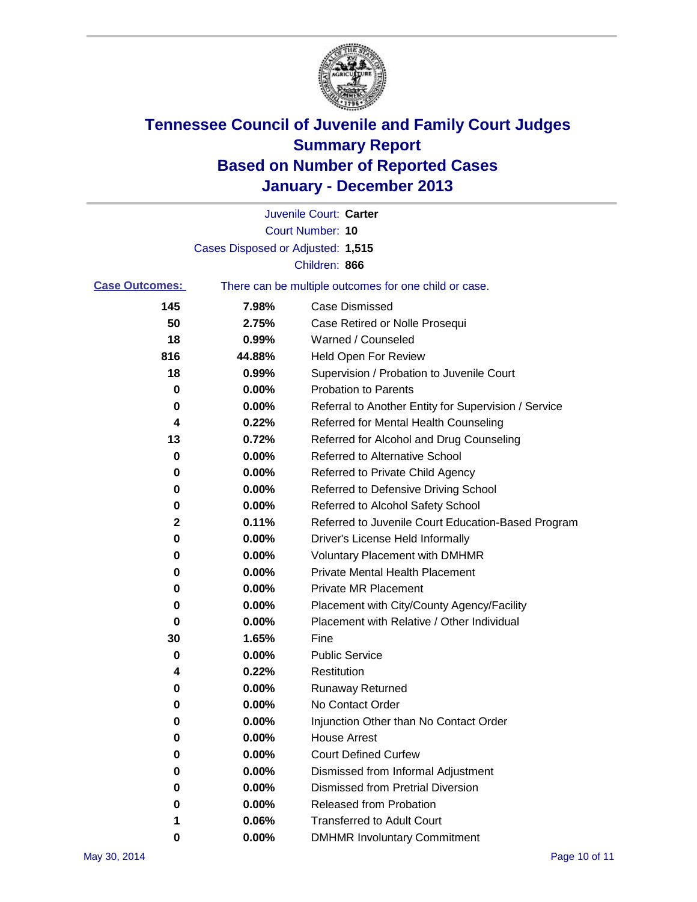

|                       |                                   | Juvenile Court: Carter                                |
|-----------------------|-----------------------------------|-------------------------------------------------------|
|                       |                                   | <b>Court Number: 10</b>                               |
|                       | Cases Disposed or Adjusted: 1,515 |                                                       |
|                       |                                   | Children: 866                                         |
| <b>Case Outcomes:</b> |                                   | There can be multiple outcomes for one child or case. |
| 145                   | 7.98%                             | Case Dismissed                                        |
| 50                    | 2.75%                             | Case Retired or Nolle Prosequi                        |
| 18                    | 0.99%                             | Warned / Counseled                                    |
| 816                   | 44.88%                            | Held Open For Review                                  |
| 18                    | 0.99%                             | Supervision / Probation to Juvenile Court             |
| 0                     | 0.00%                             | <b>Probation to Parents</b>                           |
| 0                     | 0.00%                             | Referral to Another Entity for Supervision / Service  |
| 4                     | 0.22%                             | Referred for Mental Health Counseling                 |
| 13                    | 0.72%                             | Referred for Alcohol and Drug Counseling              |
| 0                     | 0.00%                             | Referred to Alternative School                        |
| 0                     | 0.00%                             | Referred to Private Child Agency                      |
| 0                     | 0.00%                             | Referred to Defensive Driving School                  |
| 0                     | 0.00%                             | Referred to Alcohol Safety School                     |
| 2                     | 0.11%                             | Referred to Juvenile Court Education-Based Program    |
| 0                     | 0.00%                             | Driver's License Held Informally                      |
| 0                     | 0.00%                             | <b>Voluntary Placement with DMHMR</b>                 |
| 0                     | 0.00%                             | <b>Private Mental Health Placement</b>                |
| 0                     | 0.00%                             | <b>Private MR Placement</b>                           |
| 0                     | 0.00%                             | Placement with City/County Agency/Facility            |
| 0                     | 0.00%                             | Placement with Relative / Other Individual            |
| 30                    | 1.65%                             | Fine                                                  |
| 0                     | 0.00%                             | <b>Public Service</b>                                 |
| 4                     | 0.22%                             | Restitution                                           |
| 0                     | 0.00%                             | <b>Runaway Returned</b>                               |
| 0                     | 0.00%                             | No Contact Order                                      |
| 0                     | 0.00%                             | Injunction Other than No Contact Order                |
| 0                     | 0.00%                             | <b>House Arrest</b>                                   |
| 0                     | 0.00%                             | <b>Court Defined Curfew</b>                           |
| 0                     | 0.00%                             | Dismissed from Informal Adjustment                    |
| 0                     | 0.00%                             | <b>Dismissed from Pretrial Diversion</b>              |
| 0                     | 0.00%                             | Released from Probation                               |
| 1                     | 0.06%                             | <b>Transferred to Adult Court</b>                     |
| 0                     | $0.00\%$                          | <b>DMHMR Involuntary Commitment</b>                   |